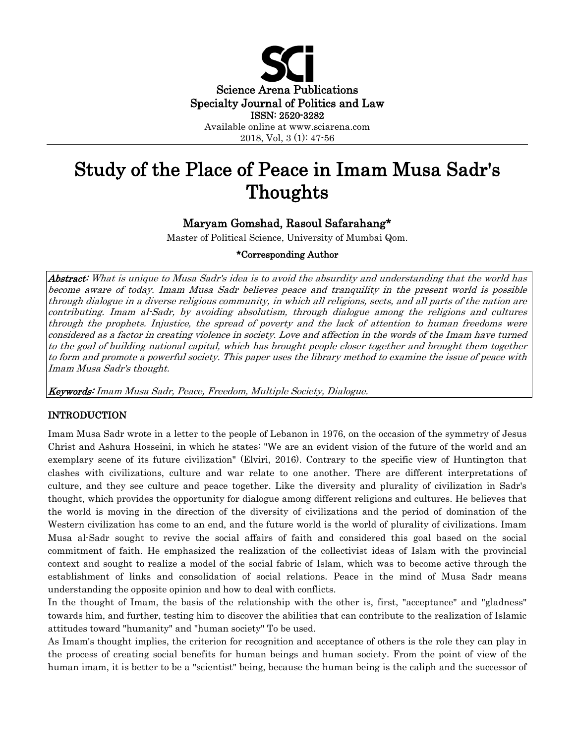

2018, Vol, 3 (1): 47-56

# Study of the Place of Peace in Imam Musa Sadr's Thoughts

## Maryam Gomshad, Rasoul Safarahang\*

Master of Political Science, University of Mumbai Qom.

## \*Corresponding Author

Abstract: What is unique to Musa Sadr's idea is to avoid the absurdity and understanding that the world has become aware of today. Imam Musa Sadr believes peace and tranquility in the present world is possible through dialogue in a diverse religious community, in which all religions, sects, and all parts of the nation are contributing. Imam al-Sadr, by avoiding absolutism, through dialogue among the religions and cultures through the prophets. Injustice, the spread of poverty and the lack of attention to human freedoms were considered as a factor in creating violence in society. Love and affection in the words of the Imam have turned to the goal of building national capital, which has brought people closer together and brought them together to form and promote a powerful society. This paper uses the library method to examine the issue of peace with Imam Musa Sadr's thought.

Keywords: Imam Musa Sadr, Peace, Freedom, Multiple Society, Dialogue.

## INTRODUCTION

Imam Musa Sadr wrote in a letter to the people of Lebanon in 1976, on the occasion of the symmetry of Jesus Christ and Ashura Hosseini, in which he states: "We are an evident vision of the future of the world and an exemplary scene of its future civilization" (Elviri, 2016). Contrary to the specific view of Huntington that clashes with civilizations, culture and war relate to one another. There are different interpretations of culture, and they see culture and peace together. Like the diversity and plurality of civilization in Sadr's thought, which provides the opportunity for dialogue among different religions and cultures. He believes that the world is moving in the direction of the diversity of civilizations and the period of domination of the Western civilization has come to an end, and the future world is the world of plurality of civilizations. Imam Musa al-Sadr sought to revive the social affairs of faith and considered this goal based on the social commitment of faith. He emphasized the realization of the collectivist ideas of Islam with the provincial context and sought to realize a model of the social fabric of Islam, which was to become active through the establishment of links and consolidation of social relations. Peace in the mind of Musa Sadr means understanding the opposite opinion and how to deal with conflicts.

In the thought of Imam, the basis of the relationship with the other is, first, "acceptance" and "gladness" towards him, and further, testing him to discover the abilities that can contribute to the realization of Islamic attitudes toward "humanity" and "human society" To be used.

As Imam's thought implies, the criterion for recognition and acceptance of others is the role they can play in the process of creating social benefits for human beings and human society. From the point of view of the human imam, it is better to be a "scientist" being, because the human being is the caliph and the successor of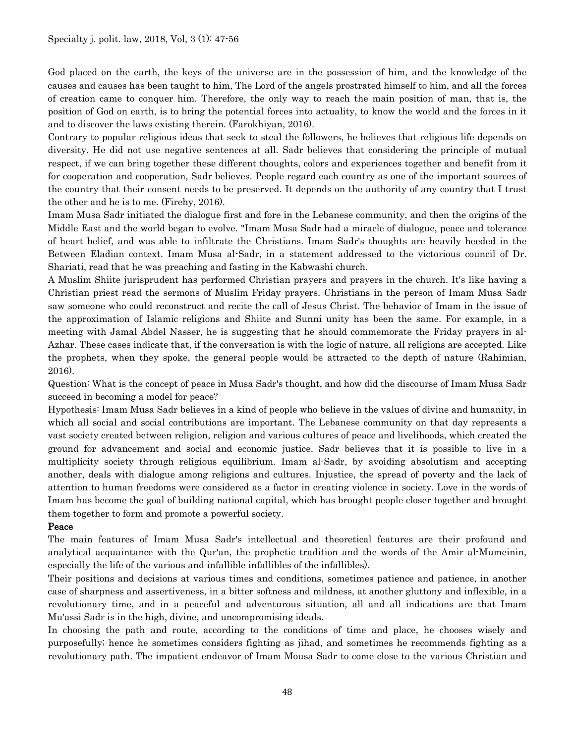God placed on the earth, the keys of the universe are in the possession of him, and the knowledge of the causes and causes has been taught to him, The Lord of the angels prostrated himself to him, and all the forces of creation came to conquer him. Therefore, the only way to reach the main position of man, that is, the position of God on earth, is to bring the potential forces into actuality, to know the world and the forces in it and to discover the laws existing therein. (Farokhiyan, 2016).

Contrary to popular religious ideas that seek to steal the followers, he believes that religious life depends on diversity. He did not use negative sentences at all. Sadr believes that considering the principle of mutual respect, if we can bring together these different thoughts, colors and experiences together and benefit from it for cooperation and cooperation, Sadr believes. People regard each country as one of the important sources of the country that their consent needs to be preserved. It depends on the authority of any country that I trust the other and he is to me. (Firehy, 2016).

Imam Musa Sadr initiated the dialogue first and fore in the Lebanese community, and then the origins of the Middle East and the world began to evolve. "Imam Musa Sadr had a miracle of dialogue, peace and tolerance of heart belief, and was able to infiltrate the Christians. Imam Sadr's thoughts are heavily heeded in the Between Eladian context. Imam Musa al-Sadr, in a statement addressed to the victorious council of Dr. Shariati, read that he was preaching and fasting in the Kabwashi church.

A Muslim Shiite jurisprudent has performed Christian prayers and prayers in the church. It's like having a Christian priest read the sermons of Muslim Friday prayers. Christians in the person of Imam Musa Sadr saw someone who could reconstruct and recite the call of Jesus Christ. The behavior of Imam in the issue of the approximation of Islamic religions and Shiite and Sunni unity has been the same. For example, in a meeting with Jamal Abdel Nasser, he is suggesting that he should commemorate the Friday prayers in al-Azhar. These cases indicate that, if the conversation is with the logic of nature, all religions are accepted. Like the prophets, when they spoke, the general people would be attracted to the depth of nature (Rahimian, 2016).

Question: What is the concept of peace in Musa Sadr's thought, and how did the discourse of Imam Musa Sadr succeed in becoming a model for peace?

Hypothesis: Imam Musa Sadr believes in a kind of people who believe in the values of divine and humanity, in which all social and social contributions are important. The Lebanese community on that day represents a vast society created between religion, religion and various cultures of peace and livelihoods, which created the ground for advancement and social and economic justice. Sadr believes that it is possible to live in a multiplicity society through religious equilibrium. Imam al-Sadr, by avoiding absolutism and accepting another, deals with dialogue among religions and cultures. Injustice, the spread of poverty and the lack of attention to human freedoms were considered as a factor in creating violence in society. Love in the words of Imam has become the goal of building national capital, which has brought people closer together and brought them together to form and promote a powerful society.

## Peace

The main features of Imam Musa Sadr's intellectual and theoretical features are their profound and analytical acquaintance with the Qur'an, the prophetic tradition and the words of the Amir al-Mumeinin, especially the life of the various and infallible infallibles of the infallibles).

Their positions and decisions at various times and conditions, sometimes patience and patience, in another case of sharpness and assertiveness, in a bitter softness and mildness, at another gluttony and inflexible, in a revolutionary time, and in a peaceful and adventurous situation, all and all indications are that Imam Mu'assi Sadr is in the high, divine, and uncompromising ideals.

In choosing the path and route, according to the conditions of time and place, he chooses wisely and purposefully; hence he sometimes considers fighting as jihad, and sometimes he recommends fighting as a revolutionary path. The impatient endeavor of Imam Mousa Sadr to come close to the various Christian and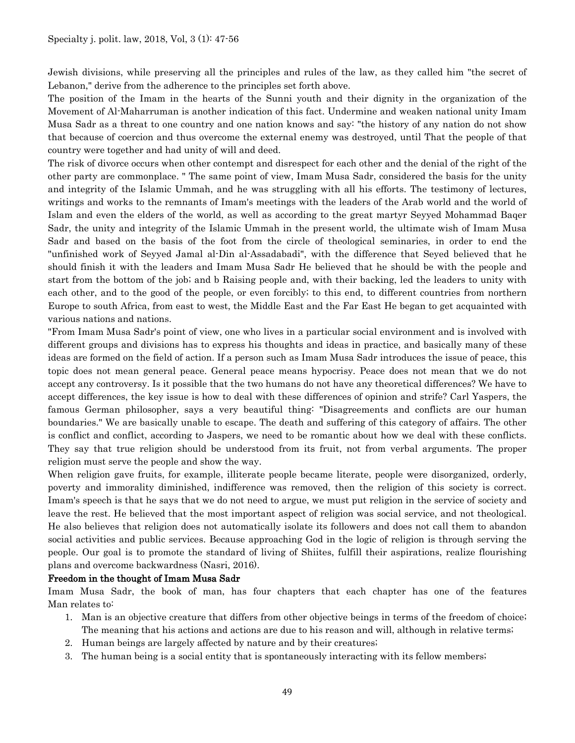Jewish divisions, while preserving all the principles and rules of the law, as they called him "the secret of Lebanon," derive from the adherence to the principles set forth above.

The position of the Imam in the hearts of the Sunni youth and their dignity in the organization of the Movement of Al-Maharruman is another indication of this fact. Undermine and weaken national unity Imam Musa Sadr as a threat to one country and one nation knows and say: "the history of any nation do not show that because of coercion and thus overcome the external enemy was destroyed, until That the people of that country were together and had unity of will and deed.

The risk of divorce occurs when other contempt and disrespect for each other and the denial of the right of the other party are commonplace. " The same point of view, Imam Musa Sadr, considered the basis for the unity and integrity of the Islamic Ummah, and he was struggling with all his efforts. The testimony of lectures, writings and works to the remnants of Imam's meetings with the leaders of the Arab world and the world of Islam and even the elders of the world, as well as according to the great martyr Seyyed Mohammad Baqer Sadr, the unity and integrity of the Islamic Ummah in the present world, the ultimate wish of Imam Musa Sadr and based on the basis of the foot from the circle of theological seminaries, in order to end the "unfinished work of Seyyed Jamal al-Din al-Assadabadi", with the difference that Seyed believed that he should finish it with the leaders and Imam Musa Sadr He believed that he should be with the people and start from the bottom of the job; and b Raising people and, with their backing, led the leaders to unity with each other, and to the good of the people, or even forcibly; to this end, to different countries from northern Europe to south Africa, from east to west, the Middle East and the Far East He began to get acquainted with various nations and nations.

"From Imam Musa Sadr's point of view, one who lives in a particular social environment and is involved with different groups and divisions has to express his thoughts and ideas in practice, and basically many of these ideas are formed on the field of action. If a person such as Imam Musa Sadr introduces the issue of peace, this topic does not mean general peace. General peace means hypocrisy. Peace does not mean that we do not accept any controversy. Is it possible that the two humans do not have any theoretical differences? We have to accept differences, the key issue is how to deal with these differences of opinion and strife? Carl Yaspers, the famous German philosopher, says a very beautiful thing: "Disagreements and conflicts are our human boundaries." We are basically unable to escape. The death and suffering of this category of affairs. The other is conflict and conflict, according to Jaspers, we need to be romantic about how we deal with these conflicts. They say that true religion should be understood from its fruit, not from verbal arguments. The proper religion must serve the people and show the way.

When religion gave fruits, for example, illiterate people became literate, people were disorganized, orderly, poverty and immorality diminished, indifference was removed, then the religion of this society is correct. Imam's speech is that he says that we do not need to argue, we must put religion in the service of society and leave the rest. He believed that the most important aspect of religion was social service, and not theological. He also believes that religion does not automatically isolate its followers and does not call them to abandon social activities and public services. Because approaching God in the logic of religion is through serving the people. Our goal is to promote the standard of living of Shiites, fulfill their aspirations, realize flourishing plans and overcome backwardness (Nasri, 2016).

## Freedom in the thought of Imam Musa Sadr

Imam Musa Sadr, the book of man, has four chapters that each chapter has one of the features Man relates to:

- 1. Man is an objective creature that differs from other objective beings in terms of the freedom of choice; The meaning that his actions and actions are due to his reason and will, although in relative terms;
- 2. Human beings are largely affected by nature and by their creatures;
- 3. The human being is a social entity that is spontaneously interacting with its fellow members;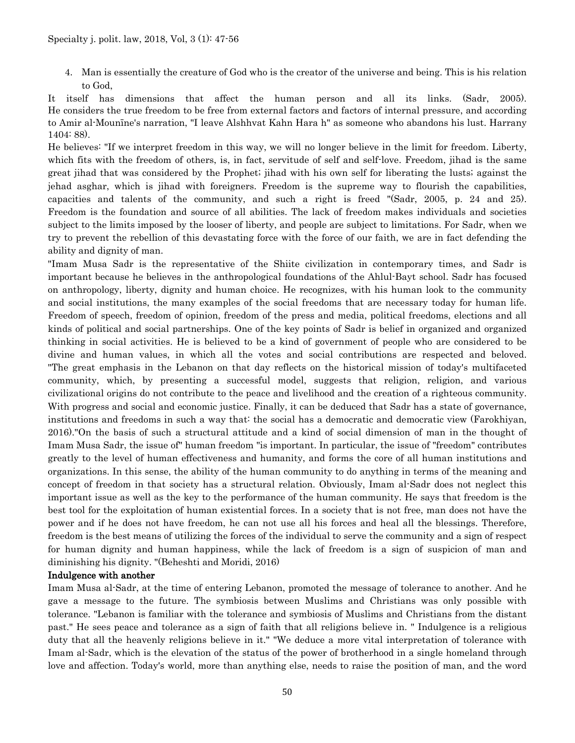4. Man is essentially the creature of God who is the creator of the universe and being. This is his relation to God,

It itself has dimensions that affect the human person and all its links. (Sadr, 2005). He considers the true freedom to be free from external factors and factors of internal pressure, and according to Amir al-Mounīne's narration, "I leave Alshhvat Kahn Hara h" as someone who abandons his lust. Harrany 1404: 88).

He believes: "If we interpret freedom in this way, we will no longer believe in the limit for freedom. Liberty, which fits with the freedom of others, is, in fact, servitude of self and self-love. Freedom, jihad is the same great jihad that was considered by the Prophet; jihad with his own self for liberating the lusts; against the jehad asghar, which is jihad with foreigners. Freedom is the supreme way to flourish the capabilities, capacities and talents of the community, and such a right is freed "(Sadr, 2005, p. 24 and 25). Freedom is the foundation and source of all abilities. The lack of freedom makes individuals and societies subject to the limits imposed by the looser of liberty, and people are subject to limitations. For Sadr, when we try to prevent the rebellion of this devastating force with the force of our faith, we are in fact defending the ability and dignity of man.

"Imam Musa Sadr is the representative of the Shiite civilization in contemporary times, and Sadr is important because he believes in the anthropological foundations of the Ahlul-Bayt school. Sadr has focused on anthropology, liberty, dignity and human choice. He recognizes, with his human look to the community and social institutions, the many examples of the social freedoms that are necessary today for human life. Freedom of speech, freedom of opinion, freedom of the press and media, political freedoms, elections and all kinds of political and social partnerships. One of the key points of Sadr is belief in organized and organized thinking in social activities. He is believed to be a kind of government of people who are considered to be divine and human values, in which all the votes and social contributions are respected and beloved. "The great emphasis in the Lebanon on that day reflects on the historical mission of today's multifaceted community, which, by presenting a successful model, suggests that religion, religion, and various civilizational origins do not contribute to the peace and livelihood and the creation of a righteous community. With progress and social and economic justice. Finally, it can be deduced that Sadr has a state of governance, institutions and freedoms in such a way that: the social has a democratic and democratic view (Farokhiyan, 2016)."On the basis of such a structural attitude and a kind of social dimension of man in the thought of Imam Musa Sadr, the issue of" human freedom "is important. In particular, the issue of "freedom" contributes greatly to the level of human effectiveness and humanity, and forms the core of all human institutions and organizations. In this sense, the ability of the human community to do anything in terms of the meaning and concept of freedom in that society has a structural relation. Obviously, Imam al-Sadr does not neglect this important issue as well as the key to the performance of the human community. He says that freedom is the best tool for the exploitation of human existential forces. In a society that is not free, man does not have the power and if he does not have freedom, he can not use all his forces and heal all the blessings. Therefore, freedom is the best means of utilizing the forces of the individual to serve the community and a sign of respect for human dignity and human happiness, while the lack of freedom is a sign of suspicion of man and diminishing his dignity. "(Beheshti and Moridi, 2016)

#### Indulgence with another

Imam Musa al-Sadr, at the time of entering Lebanon, promoted the message of tolerance to another. And he gave a message to the future. The symbiosis between Muslims and Christians was only possible with tolerance. "Lebanon is familiar with the tolerance and symbiosis of Muslims and Christians from the distant past." He sees peace and tolerance as a sign of faith that all religions believe in. " Indulgence is a religious duty that all the heavenly religions believe in it." "We deduce a more vital interpretation of tolerance with Imam al-Sadr, which is the elevation of the status of the power of brotherhood in a single homeland through love and affection. Today's world, more than anything else, needs to raise the position of man, and the word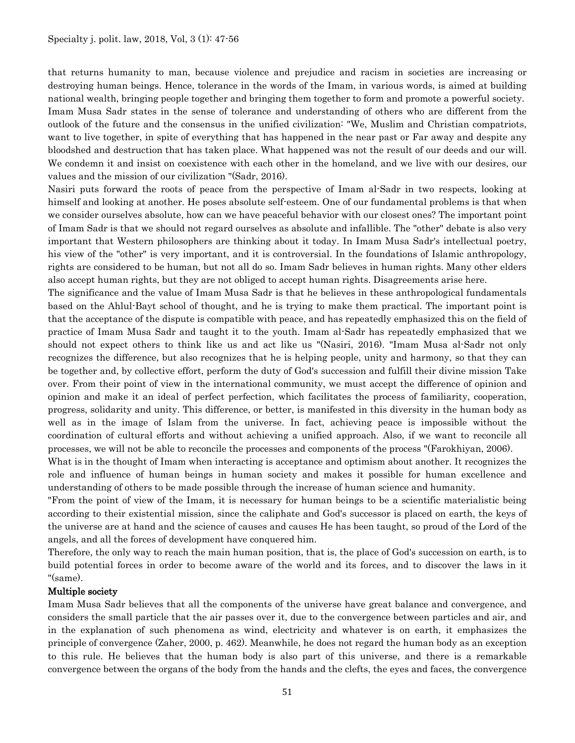that returns humanity to man, because violence and prejudice and racism in societies are increasing or destroying human beings. Hence, tolerance in the words of the Imam, in various words, is aimed at building national wealth, bringing people together and bringing them together to form and promote a powerful society. Imam Musa Sadr states in the sense of tolerance and understanding of others who are different from the outlook of the future and the consensus in the unified civilization: "We, Muslim and Christian compatriots, want to live together, in spite of everything that has happened in the near past or Far away and despite any bloodshed and destruction that has taken place. What happened was not the result of our deeds and our will. We condemn it and insist on coexistence with each other in the homeland, and we live with our desires, our values and the mission of our civilization "(Sadr, 2016).

Nasiri puts forward the roots of peace from the perspective of Imam al-Sadr in two respects, looking at himself and looking at another. He poses absolute self-esteem. One of our fundamental problems is that when we consider ourselves absolute, how can we have peaceful behavior with our closest ones? The important point of Imam Sadr is that we should not regard ourselves as absolute and infallible. The "other" debate is also very important that Western philosophers are thinking about it today. In Imam Musa Sadr's intellectual poetry, his view of the "other" is very important, and it is controversial. In the foundations of Islamic anthropology, rights are considered to be human, but not all do so. Imam Sadr believes in human rights. Many other elders also accept human rights, but they are not obliged to accept human rights. Disagreements arise here.

The significance and the value of Imam Musa Sadr is that he believes in these anthropological fundamentals based on the Ahlul-Bayt school of thought, and he is trying to make them practical. The important point is that the acceptance of the dispute is compatible with peace, and has repeatedly emphasized this on the field of practice of Imam Musa Sadr and taught it to the youth. Imam al-Sadr has repeatedly emphasized that we should not expect others to think like us and act like us "(Nasiri, 2016). "Imam Musa al-Sadr not only recognizes the difference, but also recognizes that he is helping people, unity and harmony, so that they can be together and, by collective effort, perform the duty of God's succession and fulfill their divine mission Take over. From their point of view in the international community, we must accept the difference of opinion and opinion and make it an ideal of perfect perfection, which facilitates the process of familiarity, cooperation, progress, solidarity and unity. This difference, or better, is manifested in this diversity in the human body as well as in the image of Islam from the universe. In fact, achieving peace is impossible without the coordination of cultural efforts and without achieving a unified approach. Also, if we want to reconcile all processes, we will not be able to reconcile the processes and components of the process "(Farokhiyan, 2006).

What is in the thought of Imam when interacting is acceptance and optimism about another. It recognizes the role and influence of human beings in human society and makes it possible for human excellence and understanding of others to be made possible through the increase of human science and humanity.

"From the point of view of the Imam, it is necessary for human beings to be a scientific materialistic being according to their existential mission, since the caliphate and God's successor is placed on earth, the keys of the universe are at hand and the science of causes and causes He has been taught, so proud of the Lord of the angels, and all the forces of development have conquered him.

Therefore, the only way to reach the main human position, that is, the place of God's succession on earth, is to build potential forces in order to become aware of the world and its forces, and to discover the laws in it "(same).

#### Multiple society

Imam Musa Sadr believes that all the components of the universe have great balance and convergence, and considers the small particle that the air passes over it, due to the convergence between particles and air, and in the explanation of such phenomena as wind, electricity and whatever is on earth, it emphasizes the principle of convergence (Zaher, 2000, p. 462). Meanwhile, he does not regard the human body as an exception to this rule. He believes that the human body is also part of this universe, and there is a remarkable convergence between the organs of the body from the hands and the clefts, the eyes and faces, the convergence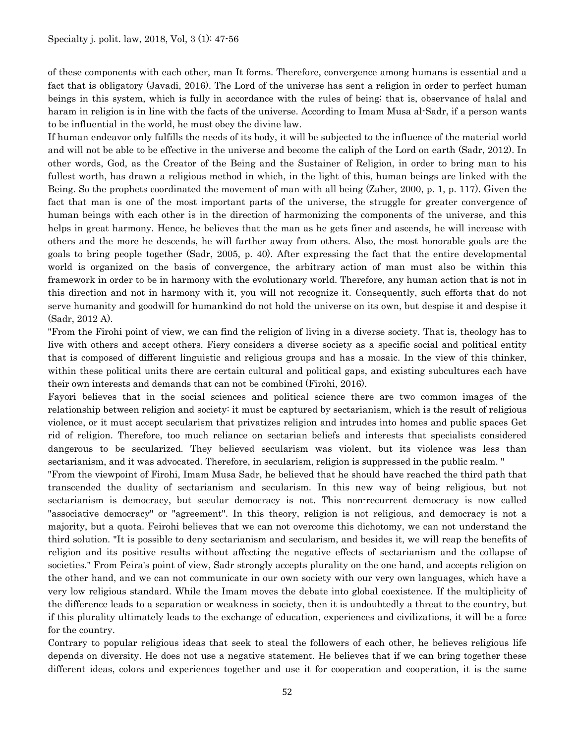of these components with each other, man It forms. Therefore, convergence among humans is essential and a fact that is obligatory (Javadi, 2016). The Lord of the universe has sent a religion in order to perfect human beings in this system, which is fully in accordance with the rules of being; that is, observance of halal and haram in religion is in line with the facts of the universe. According to Imam Musa al-Sadr, if a person wants to be influential in the world, he must obey the divine law.

If human endeavor only fulfills the needs of its body, it will be subjected to the influence of the material world and will not be able to be effective in the universe and become the caliph of the Lord on earth (Sadr, 2012). In other words, God, as the Creator of the Being and the Sustainer of Religion, in order to bring man to his fullest worth, has drawn a religious method in which, in the light of this, human beings are linked with the Being. So the prophets coordinated the movement of man with all being (Zaher, 2000, p. 1, p. 117). Given the fact that man is one of the most important parts of the universe, the struggle for greater convergence of human beings with each other is in the direction of harmonizing the components of the universe, and this helps in great harmony. Hence, he believes that the man as he gets finer and ascends, he will increase with others and the more he descends, he will farther away from others. Also, the most honorable goals are the goals to bring people together (Sadr, 2005, p. 40). After expressing the fact that the entire developmental world is organized on the basis of convergence, the arbitrary action of man must also be within this framework in order to be in harmony with the evolutionary world. Therefore, any human action that is not in this direction and not in harmony with it, you will not recognize it. Consequently, such efforts that do not serve humanity and goodwill for humankind do not hold the universe on its own, but despise it and despise it (Sadr, 2012 A).

"From the Firohi point of view, we can find the religion of living in a diverse society. That is, theology has to live with others and accept others. Fiery considers a diverse society as a specific social and political entity that is composed of different linguistic and religious groups and has a mosaic. In the view of this thinker, within these political units there are certain cultural and political gaps, and existing subcultures each have their own interests and demands that can not be combined (Firohi, 2016).

Fayori believes that in the social sciences and political science there are two common images of the relationship between religion and society: it must be captured by sectarianism, which is the result of religious violence, or it must accept secularism that privatizes religion and intrudes into homes and public spaces Get rid of religion. Therefore, too much reliance on sectarian beliefs and interests that specialists considered dangerous to be secularized. They believed secularism was violent, but its violence was less than sectarianism, and it was advocated. Therefore, in secularism, religion is suppressed in the public realm. "

"From the viewpoint of Firohi, Imam Musa Sadr, he believed that he should have reached the third path that transcended the duality of sectarianism and secularism. In this new way of being religious, but not sectarianism is democracy, but secular democracy is not. This non-recurrent democracy is now called "associative democracy" or "agreement". In this theory, religion is not religious, and democracy is not a majority, but a quota. Feirohi believes that we can not overcome this dichotomy, we can not understand the third solution. "It is possible to deny sectarianism and secularism, and besides it, we will reap the benefits of religion and its positive results without affecting the negative effects of sectarianism and the collapse of societies." From Feira's point of view, Sadr strongly accepts plurality on the one hand, and accepts religion on the other hand, and we can not communicate in our own society with our very own languages, which have a very low religious standard. While the Imam moves the debate into global coexistence. If the multiplicity of the difference leads to a separation or weakness in society, then it is undoubtedly a threat to the country, but if this plurality ultimately leads to the exchange of education, experiences and civilizations, it will be a force for the country.

Contrary to popular religious ideas that seek to steal the followers of each other, he believes religious life depends on diversity. He does not use a negative statement. He believes that if we can bring together these different ideas, colors and experiences together and use it for cooperation and cooperation, it is the same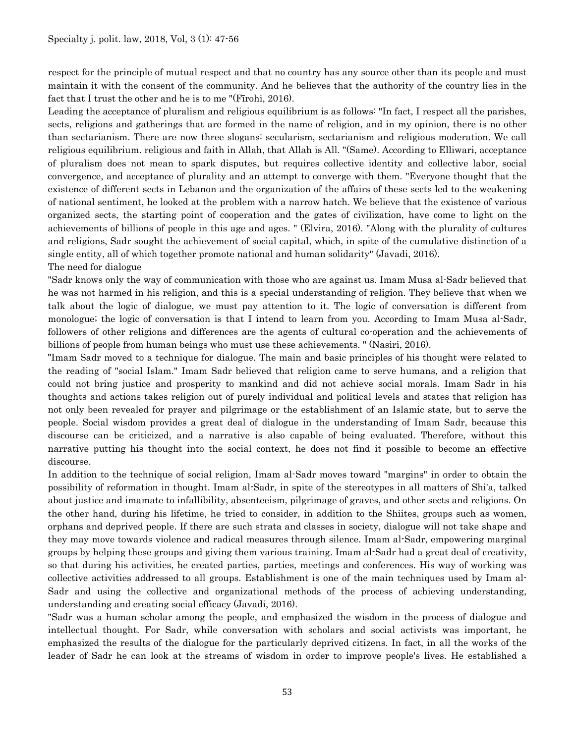respect for the principle of mutual respect and that no country has any source other than its people and must maintain it with the consent of the community. And he believes that the authority of the country lies in the fact that I trust the other and he is to me "(Fīrohi, 2016).

Leading the acceptance of pluralism and religious equilibrium is as follows: "In fact, I respect all the parishes, sects, religions and gatherings that are formed in the name of religion, and in my opinion, there is no other than sectarianism. There are now three slogans: secularism, sectarianism and religious moderation. We call religious equilibrium. religious and faith in Allah, that Allah is All. "(Same). According to Elliwari, acceptance of pluralism does not mean to spark disputes, but requires collective identity and collective labor, social convergence, and acceptance of plurality and an attempt to converge with them. "Everyone thought that the existence of different sects in Lebanon and the organization of the affairs of these sects led to the weakening of national sentiment, he looked at the problem with a narrow hatch. We believe that the existence of various organized sects, the starting point of cooperation and the gates of civilization, have come to light on the achievements of billions of people in this age and ages. " (Elvira, 2016). "Along with the plurality of cultures and religions, Sadr sought the achievement of social capital, which, in spite of the cumulative distinction of a single entity, all of which together promote national and human solidarity" (Javadi, 2016).

The need for dialogue

"Sadr knows only the way of communication with those who are against us. Imam Musa al-Sadr believed that he was not harmed in his religion, and this is a special understanding of religion. They believe that when we talk about the logic of dialogue, we must pay attention to it. The logic of conversation is different from monologue; the logic of conversation is that I intend to learn from you. According to Imam Musa al-Sadr, followers of other religions and differences are the agents of cultural co-operation and the achievements of billions of people from human beings who must use these achievements. " (Nasiri, 2016).

"Imam Sadr moved to a technique for dialogue. The main and basic principles of his thought were related to the reading of "social Islam." Imam Sadr believed that religion came to serve humans, and a religion that could not bring justice and prosperity to mankind and did not achieve social morals. Imam Sadr in his thoughts and actions takes religion out of purely individual and political levels and states that religion has not only been revealed for prayer and pilgrimage or the establishment of an Islamic state, but to serve the people. Social wisdom provides a great deal of dialogue in the understanding of Imam Sadr, because this discourse can be criticized, and a narrative is also capable of being evaluated. Therefore, without this narrative putting his thought into the social context, he does not find it possible to become an effective discourse.

In addition to the technique of social religion, Imam al-Sadr moves toward "margins" in order to obtain the possibility of reformation in thought. Imam al-Sadr, in spite of the stereotypes in all matters of Shi'a, talked about justice and imamate to infallibility, absenteeism, pilgrimage of graves, and other sects and religions. On the other hand, during his lifetime, he tried to consider, in addition to the Shiites, groups such as women, orphans and deprived people. If there are such strata and classes in society, dialogue will not take shape and they may move towards violence and radical measures through silence. Imam al-Sadr, empowering marginal groups by helping these groups and giving them various training. Imam al-Sadr had a great deal of creativity, so that during his activities, he created parties, parties, meetings and conferences. His way of working was collective activities addressed to all groups. Establishment is one of the main techniques used by Imam al-Sadr and using the collective and organizational methods of the process of achieving understanding, understanding and creating social efficacy (Javadi, 2016).

"Sadr was a human scholar among the people, and emphasized the wisdom in the process of dialogue and intellectual thought. For Sadr, while conversation with scholars and social activists was important, he emphasized the results of the dialogue for the particularly deprived citizens. In fact, in all the works of the leader of Sadr he can look at the streams of wisdom in order to improve people's lives. He established a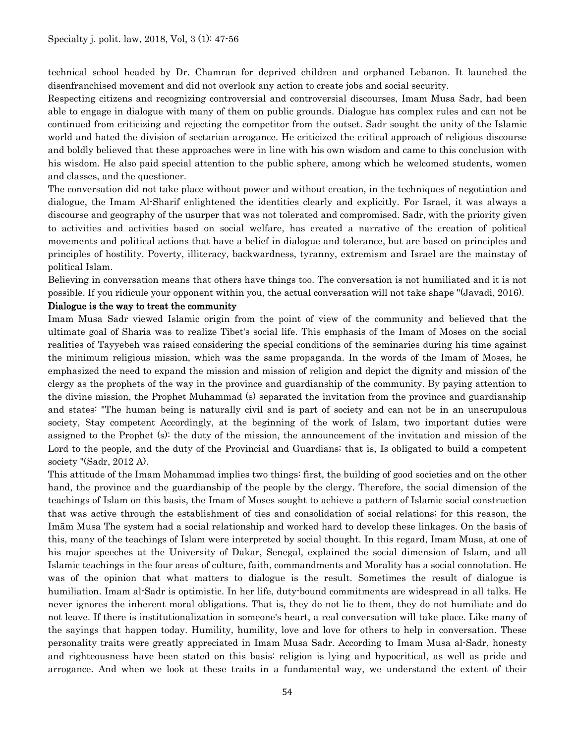technical school headed by Dr. Chamran for deprived children and orphaned Lebanon. It launched the disenfranchised movement and did not overlook any action to create jobs and social security.

Respecting citizens and recognizing controversial and controversial discourses, Imam Musa Sadr, had been able to engage in dialogue with many of them on public grounds. Dialogue has complex rules and can not be continued from criticizing and rejecting the competitor from the outset. Sadr sought the unity of the Islamic world and hated the division of sectarian arrogance. He criticized the critical approach of religious discourse and boldly believed that these approaches were in line with his own wisdom and came to this conclusion with his wisdom. He also paid special attention to the public sphere, among which he welcomed students, women and classes, and the questioner.

The conversation did not take place without power and without creation, in the techniques of negotiation and dialogue, the Imam Al-Sharif enlightened the identities clearly and explicitly. For Israel, it was always a discourse and geography of the usurper that was not tolerated and compromised. Sadr, with the priority given to activities and activities based on social welfare, has created a narrative of the creation of political movements and political actions that have a belief in dialogue and tolerance, but are based on principles and principles of hostility. Poverty, illiteracy, backwardness, tyranny, extremism and Israel are the mainstay of political Islam.

Believing in conversation means that others have things too. The conversation is not humiliated and it is not possible. If you ridicule your opponent within you, the actual conversation will not take shape "(Javadi, 2016).

## Dialogue is the way to treat the community

Imam Musa Sadr viewed Islamic origin from the point of view of the community and believed that the ultimate goal of Sharia was to realize Tibet's social life. This emphasis of the Imam of Moses on the social realities of Tayyebeh was raised considering the special conditions of the seminaries during his time against the minimum religious mission, which was the same propaganda. In the words of the Imam of Moses, he emphasized the need to expand the mission and mission of religion and depict the dignity and mission of the clergy as the prophets of the way in the province and guardianship of the community. By paying attention to the divine mission, the Prophet Muhammad (s) separated the invitation from the province and guardianship and states: "The human being is naturally civil and is part of society and can not be in an unscrupulous society, Stay competent Accordingly, at the beginning of the work of Islam, two important duties were assigned to the Prophet (s): the duty of the mission, the announcement of the invitation and mission of the Lord to the people, and the duty of the Provincial and Guardians; that is, Is obligated to build a competent society "(Sadr, 2012 A).

This attitude of the Imam Mohammad implies two things: first, the building of good societies and on the other hand, the province and the guardianship of the people by the clergy. Therefore, the social dimension of the teachings of Islam on this basis, the Imam of Moses sought to achieve a pattern of Islamic social construction that was active through the establishment of ties and consolidation of social relations; for this reason, the Imām Musa The system had a social relationship and worked hard to develop these linkages. On the basis of this, many of the teachings of Islam were interpreted by social thought. In this regard, Imam Musa, at one of his major speeches at the University of Dakar, Senegal, explained the social dimension of Islam, and all Islamic teachings in the four areas of culture, faith, commandments and Morality has a social connotation. He was of the opinion that what matters to dialogue is the result. Sometimes the result of dialogue is humiliation. Imam al-Sadr is optimistic. In her life, duty-bound commitments are widespread in all talks. He never ignores the inherent moral obligations. That is, they do not lie to them, they do not humiliate and do not leave. If there is institutionalization in someone's heart, a real conversation will take place. Like many of the sayings that happen today. Humility, humility, love and love for others to help in conversation. These personality traits were greatly appreciated in Imam Musa Sadr. According to Imam Musa al-Sadr, honesty and righteousness have been stated on this basis: religion is lying and hypocritical, as well as pride and arrogance. And when we look at these traits in a fundamental way, we understand the extent of their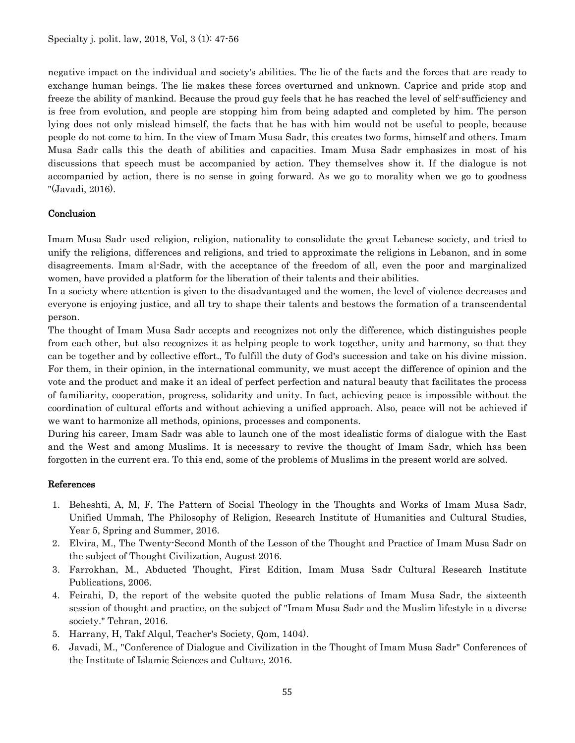negative impact on the individual and society's abilities. The lie of the facts and the forces that are ready to exchange human beings. The lie makes these forces overturned and unknown. Caprice and pride stop and freeze the ability of mankind. Because the proud guy feels that he has reached the level of self-sufficiency and is free from evolution, and people are stopping him from being adapted and completed by him. The person lying does not only mislead himself, the facts that he has with him would not be useful to people, because people do not come to him. In the view of Imam Musa Sadr, this creates two forms, himself and others. Imam Musa Sadr calls this the death of abilities and capacities. Imam Musa Sadr emphasizes in most of his discussions that speech must be accompanied by action. They themselves show it. If the dialogue is not accompanied by action, there is no sense in going forward. As we go to morality when we go to goodness "(Javadi, 2016).

## **Conclusion**

Imam Musa Sadr used religion, religion, nationality to consolidate the great Lebanese society, and tried to unify the religions, differences and religions, and tried to approximate the religions in Lebanon, and in some disagreements. Imam al-Sadr, with the acceptance of the freedom of all, even the poor and marginalized women, have provided a platform for the liberation of their talents and their abilities.

In a society where attention is given to the disadvantaged and the women, the level of violence decreases and everyone is enjoying justice, and all try to shape their talents and bestows the formation of a transcendental person.

The thought of Imam Musa Sadr accepts and recognizes not only the difference, which distinguishes people from each other, but also recognizes it as helping people to work together, unity and harmony, so that they can be together and by collective effort., To fulfill the duty of God's succession and take on his divine mission. For them, in their opinion, in the international community, we must accept the difference of opinion and the vote and the product and make it an ideal of perfect perfection and natural beauty that facilitates the process of familiarity, cooperation, progress, solidarity and unity. In fact, achieving peace is impossible without the coordination of cultural efforts and without achieving a unified approach. Also, peace will not be achieved if we want to harmonize all methods, opinions, processes and components.

During his career, Imam Sadr was able to launch one of the most idealistic forms of dialogue with the East and the West and among Muslims. It is necessary to revive the thought of Imam Sadr, which has been forgotten in the current era. To this end, some of the problems of Muslims in the present world are solved.

## References

- 1. Beheshti, A, M, F, The Pattern of Social Theology in the Thoughts and Works of Imam Musa Sadr, Unified Ummah, The Philosophy of Religion, Research Institute of Humanities and Cultural Studies, Year 5, Spring and Summer, 2016.
- 2. Elvira, M., The Twenty-Second Month of the Lesson of the Thought and Practice of Imam Musa Sadr on the subject of Thought Civilization, August 2016.
- 3. Farrokhan, M., Abducted Thought, First Edition, Imam Musa Sadr Cultural Research Institute Publications, 2006.
- 4. Feirahi, D, the report of the website quoted the public relations of Imam Musa Sadr, the sixteenth session of thought and practice, on the subject of "Imam Musa Sadr and the Muslim lifestyle in a diverse society." Tehran, 2016.
- 5. Harrany, H, Takf Alqul, Teacher's Society, Qom, 1404).
- 6. Javadi, M., "Conference of Dialogue and Civilization in the Thought of Imam Musa Sadr" Conferences of the Institute of Islamic Sciences and Culture, 2016.